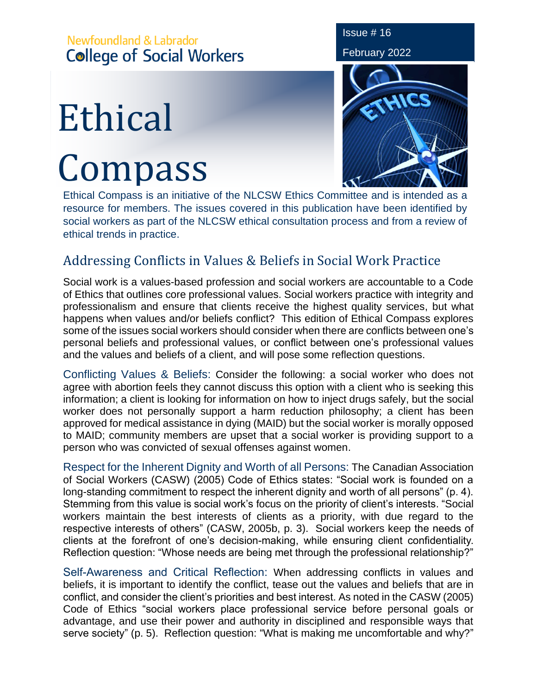## Newfoundland & Labrador **College of Social Workers**

## Ethical Compass



Issue # 16

Ethical Compass is an initiative of the NLCSW Ethics Committee and is intended as a resource for members. The issues covered in this publication have been identified by social workers as part of the NLCSW ethical consultation process and from a review of ethical trends in practice.

## Addressing Conflicts in Values & Beliefs in Social Work Practice

Social work is a values-based profession and social workers are accountable to a Code of Ethics that outlines core professional values. Social workers practice with integrity and professionalism and ensure that clients receive the highest quality services, but what happens when values and/or beliefs conflict? This edition of Ethical Compass explores some of the issues social workers should consider when there are conflicts between one's personal beliefs and professional values, or conflict between one's professional values and the values and beliefs of a client, and will pose some reflection questions.

Conflicting Values & Beliefs: Consider the following: a social worker who does not agree with abortion feels they cannot discuss this option with a client who is seeking this information; a client is looking for information on how to inject drugs safely, but the social worker does not personally support a harm reduction philosophy; a client has been approved for medical assistance in dying (MAID) but the social worker is morally opposed to MAID; community members are upset that a social worker is providing support to a person who was convicted of sexual offenses against women.

Respect for the Inherent Dignity and Worth of all Persons: The Canadian Association of Social Workers (CASW) (2005) Code of Ethics states: "Social work is founded on a long-standing commitment to respect the inherent dignity and worth of all persons" (p. 4). Stemming from this value is social work's focus on the priority of client's interests. "Social workers maintain the best interests of clients as a priority, with due regard to the respective interests of others" (CASW, 2005b, p. 3). Social workers keep the needs of clients at the forefront of one's decision-making, while ensuring client confidentiality. Reflection question: "Whose needs are being met through the professional relationship?"

Self-Awareness and Critical Reflection: When addressing conflicts in values and beliefs, it is important to identify the conflict, tease out the values and beliefs that are in conflict, and consider the client's priorities and best interest. As noted in the CASW (2005) Code of Ethics "social workers place professional service before personal goals or advantage, and use their power and authority in disciplined and responsible ways that serve society" (p. 5). Reflection question: "What is making me uncomfortable and why?"